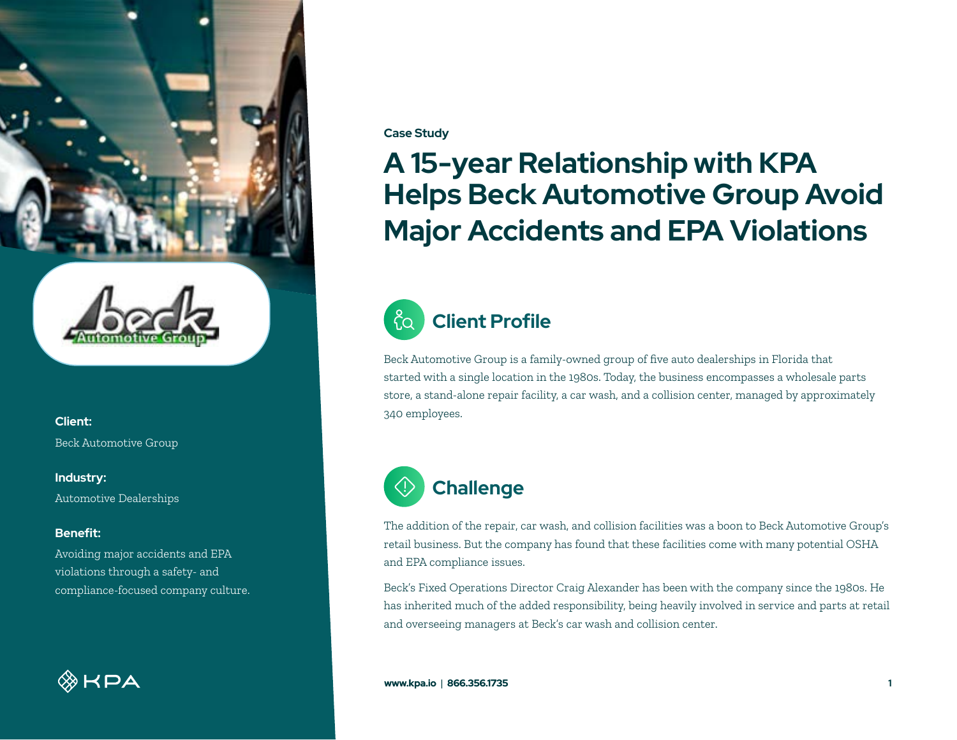



**Client:** Beck Automotive Group

**Industry:**

Automotive Dealerships

### **Benefit:**

Avoiding major accidents and EPA violations through a safety- and compliance-focused company culture.

**EXA** 

#### **Case Study**

# **A 15-year Relationship with KPA Helps Beck Automotive Group Avoid Major Accidents and EPA Violations**



## **Client Profile**

Beck Automotive Group is a family-owned group of five auto dealerships in Florida that started with a single location in the 1980s. Today, the business encompasses a wholesale parts store, a stand-alone repair facility, a car wash, and a collision center, managed by approximately 340 employees.



The addition of the repair, car wash, and collision facilities was a boon to Beck Automotive Group's retail business. But the company has found that these facilities come with many potential OSHA and EPA compliance issues.

Beck's Fixed Operations Director Craig Alexander has been with the company since the 1980s. He has inherited much of the added responsibility, being heavily involved in service and parts at retail and overseeing managers at Beck's car wash and collision center.

**www.kpa.io** | **866.356.1735** 1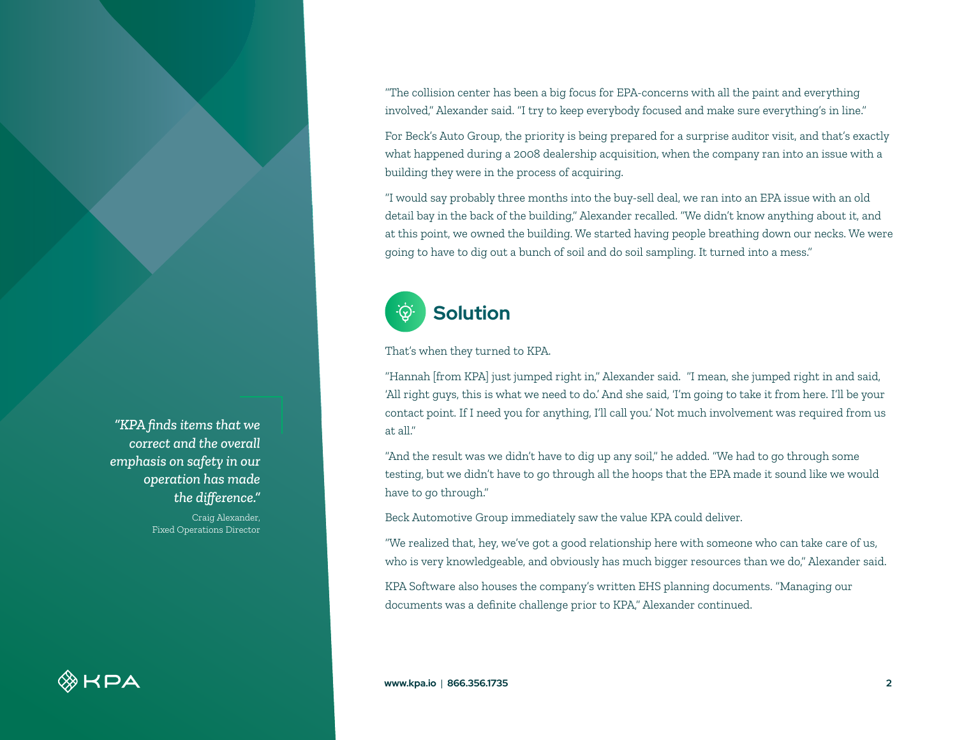"The collision center has been a big focus for EPA-concerns with all the paint and everything involved," Alexander said. "I try to keep everybody focused and make sure everything's in line."

For Beck's Auto Group, the priority is being prepared for a surprise auditor visit, and that's exactly what happened during a 2008 dealership acquisition, when the company ran into an issue with a building they were in the process of acquiring.

"I would say probably three months into the buy-sell deal, we ran into an EPA issue with an old detail bay in the back of the building," Alexander recalled. "We didn't know anything about it, and at this point, we owned the building. We started having people breathing down our necks. We were going to have to dig out a bunch of soil and do soil sampling. It turned into a mess."



#### That's when they turned to KPA.

"Hannah [from KPA] just jumped right in," Alexander said. "I mean, she jumped right in and said, 'All right guys, this is what we need to do.' And she said, 'I'm going to take it from here. I'll be your contact point. If I need you for anything, I'll call you.' Not much involvement was required from us at all."

"And the result was we didn't have to dig up any soil," he added. "We had to go through some testing, but we didn't have to go through all the hoops that the EPA made it sound like we would have to go through."

Beck Automotive Group immediately saw the value KPA could deliver.

"We realized that, hey, we've got a good relationship here with someone who can take care of us, who is very knowledgeable, and obviously has much bigger resources than we do," Alexander said.

KPA Software also houses the company's written EHS planning documents. "Managing our documents was a definite challenge prior to KPA," Alexander continued.

*"KPA finds items that we correct and the overall emphasis on safety in our operation has made the difference."*

> Craig Alexander, Fixed Operations Director

 $\otimes$ KPA

**www.kpa.io** | **866.356.1735 2**